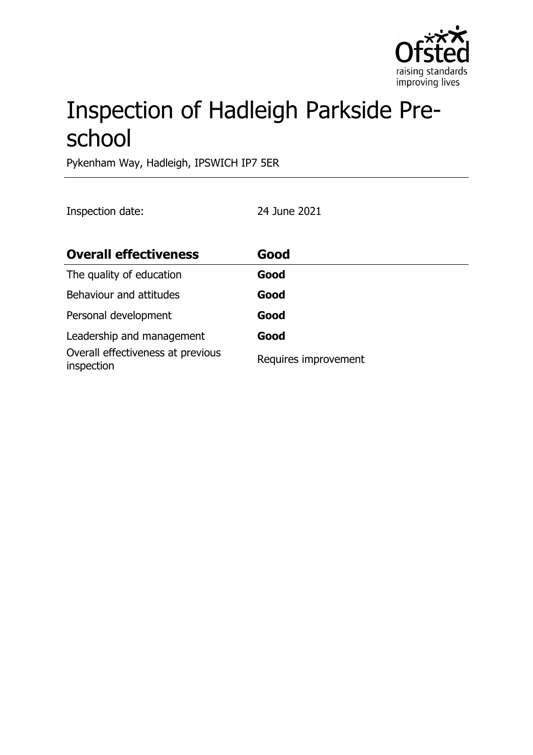

# Inspection of Hadleigh Parkside Preschool

Pykenham Way, Hadleigh, IPSWICH IP7 5ER

Inspection date: 24 June 2021

| <b>Overall effectiveness</b>                    | Good                 |
|-------------------------------------------------|----------------------|
| The quality of education                        | Good                 |
| Behaviour and attitudes                         | Good                 |
| Personal development                            | Good                 |
| Leadership and management                       | Good                 |
| Overall effectiveness at previous<br>inspection | Requires improvement |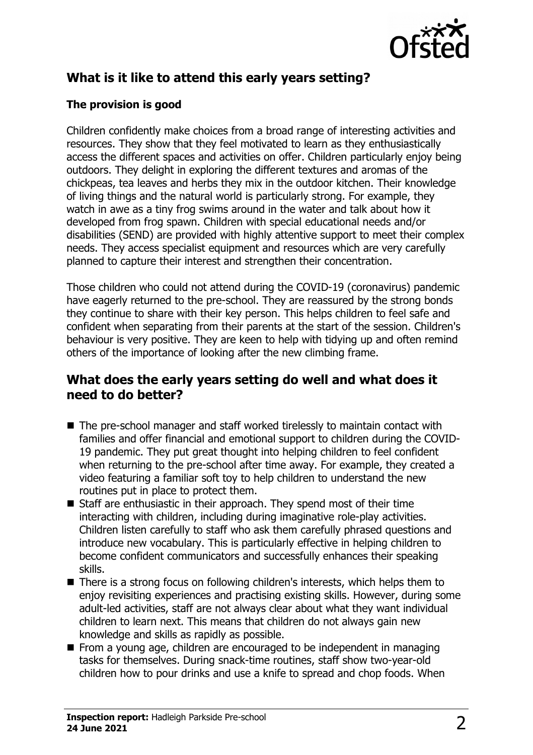

# **What is it like to attend this early years setting?**

### **The provision is good**

Children confidently make choices from a broad range of interesting activities and resources. They show that they feel motivated to learn as they enthusiastically access the different spaces and activities on offer. Children particularly enjoy being outdoors. They delight in exploring the different textures and aromas of the chickpeas, tea leaves and herbs they mix in the outdoor kitchen. Their knowledge of living things and the natural world is particularly strong. For example, they watch in awe as a tiny frog swims around in the water and talk about how it developed from frog spawn. Children with special educational needs and/or disabilities (SEND) are provided with highly attentive support to meet their complex needs. They access specialist equipment and resources which are very carefully planned to capture their interest and strengthen their concentration.

Those children who could not attend during the COVID-19 (coronavirus) pandemic have eagerly returned to the pre-school. They are reassured by the strong bonds they continue to share with their key person. This helps children to feel safe and confident when separating from their parents at the start of the session. Children's behaviour is very positive. They are keen to help with tidying up and often remind others of the importance of looking after the new climbing frame.

### **What does the early years setting do well and what does it need to do better?**

- $\blacksquare$  The pre-school manager and staff worked tirelessly to maintain contact with families and offer financial and emotional support to children during the COVID-19 pandemic. They put great thought into helping children to feel confident when returning to the pre-school after time away. For example, they created a video featuring a familiar soft toy to help children to understand the new routines put in place to protect them.
- $\blacksquare$  Staff are enthusiastic in their approach. They spend most of their time interacting with children, including during imaginative role-play activities. Children listen carefully to staff who ask them carefully phrased questions and introduce new vocabulary. This is particularly effective in helping children to become confident communicators and successfully enhances their speaking skills.
- $\blacksquare$  There is a strong focus on following children's interests, which helps them to enjoy revisiting experiences and practising existing skills. However, during some adult-led activities, staff are not always clear about what they want individual children to learn next. This means that children do not always gain new knowledge and skills as rapidly as possible.
- $\blacksquare$  From a young age, children are encouraged to be independent in managing tasks for themselves. During snack-time routines, staff show two-year-old children how to pour drinks and use a knife to spread and chop foods. When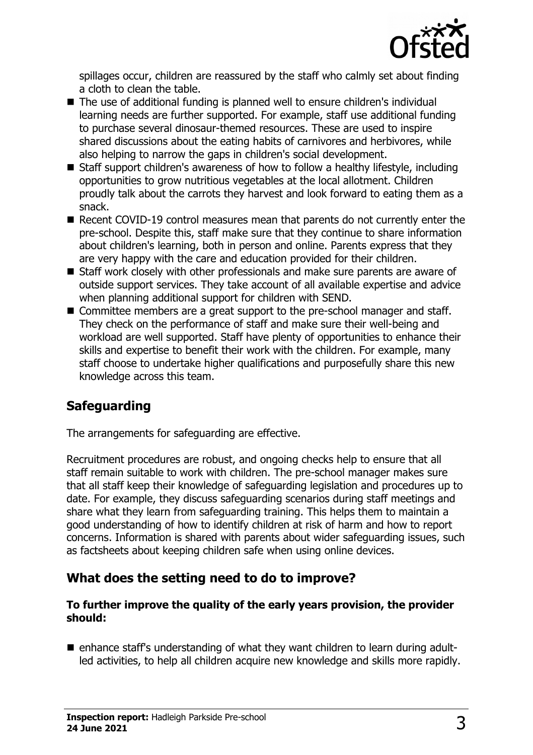

spillages occur, children are reassured by the staff who calmly set about finding a cloth to clean the table.

- $\blacksquare$  The use of additional funding is planned well to ensure children's individual learning needs are further supported. For example, staff use additional funding to purchase several dinosaur-themed resources. These are used to inspire shared discussions about the eating habits of carnivores and herbivores, while also helping to narrow the gaps in children's social development.
- $\blacksquare$  Staff support children's awareness of how to follow a healthy lifestyle, including opportunities to grow nutritious vegetables at the local allotment. Children proudly talk about the carrots they harvest and look forward to eating them as a snack.
- $\blacksquare$  Recent COVID-19 control measures mean that parents do not currently enter the pre-school. Despite this, staff make sure that they continue to share information about children's learning, both in person and online. Parents express that they are very happy with the care and education provided for their children.
- $\blacksquare$  Staff work closely with other professionals and make sure parents are aware of outside support services. They take account of all available expertise and advice when planning additional support for children with SEND.
- Committee members are a great support to the pre-school manager and staff. They check on the performance of staff and make sure their well-being and workload are well supported. Staff have plenty of opportunities to enhance their skills and expertise to benefit their work with the children. For example, many staff choose to undertake higher qualifications and purposefully share this new knowledge across this team.

# **Safeguarding**

The arrangements for safeguarding are effective.

Recruitment procedures are robust, and ongoing checks help to ensure that all staff remain suitable to work with children. The pre-school manager makes sure that all staff keep their knowledge of safeguarding legislation and procedures up to date. For example, they discuss safeguarding scenarios during staff meetings and share what they learn from safeguarding training. This helps them to maintain a good understanding of how to identify children at risk of harm and how to report concerns. Information is shared with parents about wider safeguarding issues, such as factsheets about keeping children safe when using online devices.

# **What does the setting need to do to improve?**

#### **To further improve the quality of the early years provision, the provider should:**

 $\blacksquare$  enhance staff's understanding of what they want children to learn during adultled activities, to help all children acquire new knowledge and skills more rapidly.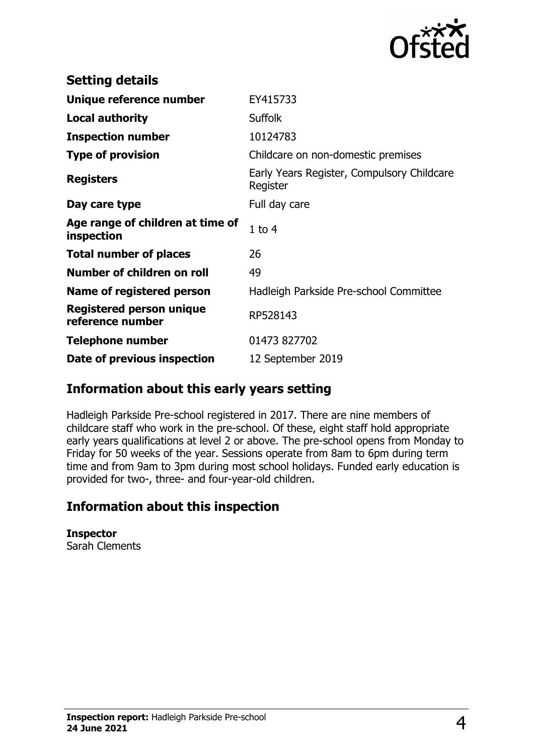

| <b>Setting details</b>                              |                                                        |
|-----------------------------------------------------|--------------------------------------------------------|
| Unique reference number                             | EY415733                                               |
| <b>Local authority</b>                              | <b>Suffolk</b>                                         |
| <b>Inspection number</b>                            | 10124783                                               |
| <b>Type of provision</b>                            | Childcare on non-domestic premises                     |
| <b>Registers</b>                                    | Early Years Register, Compulsory Childcare<br>Register |
| Day care type                                       | Full day care                                          |
| Age range of children at time of<br>inspection      | $1$ to $4$                                             |
| <b>Total number of places</b>                       | 26                                                     |
| Number of children on roll                          | 49                                                     |
| Name of registered person                           | Hadleigh Parkside Pre-school Committee                 |
| <b>Registered person unique</b><br>reference number | RP528143                                               |
| <b>Telephone number</b>                             | 01473 827702                                           |
| Date of previous inspection                         | 12 September 2019                                      |

# **Information about this early years setting**

Hadleigh Parkside Pre-school registered in 2017. There are nine members of childcare staff who work in the pre-school. Of these, eight staff hold appropriate early years qualifications at level 2 or above. The pre-school opens from Monday to Friday for 50 weeks of the year. Sessions operate from 8am to 6pm during term time and from 9am to 3pm during most school holidays. Funded early education is provided for two-, three- and four-year-old children.

# **Information about this inspection**

**Inspector** Sarah Clements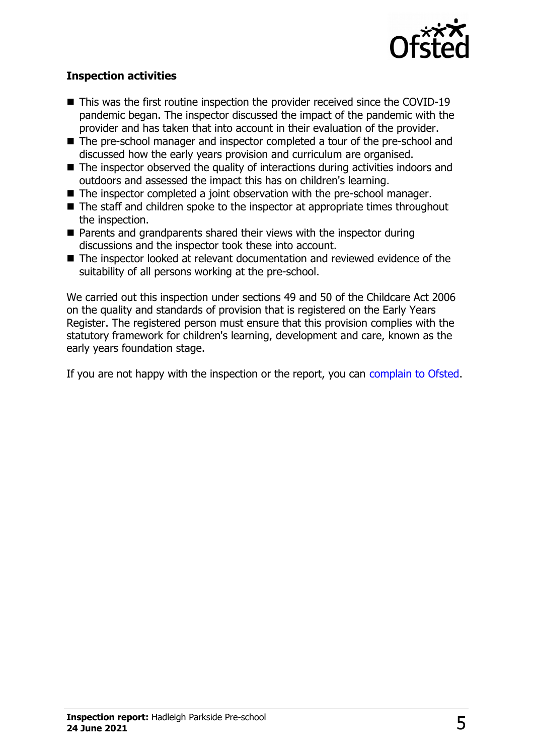

#### **Inspection activities**

- $\blacksquare$  This was the first routine inspection the provider received since the COVID-19 pandemic began. The inspector discussed the impact of the pandemic with the provider and has taken that into account in their evaluation of the provider.
- The pre-school manager and inspector completed a tour of the pre-school and discussed how the early years provision and curriculum are organised.
- $\blacksquare$  The inspector observed the quality of interactions during activities indoors and outdoors and assessed the impact this has on children's learning.
- $\blacksquare$  The inspector completed a joint observation with the pre-school manager.
- $\blacksquare$  The staff and children spoke to the inspector at appropriate times throughout the inspection.
- $\blacksquare$  Parents and grandparents shared their views with the inspector during discussions and the inspector took these into account.
- $\blacksquare$  The inspector looked at relevant documentation and reviewed evidence of the suitability of all persons working at the pre-school.

We carried out this inspection under sections 49 and 50 of the Childcare Act 2006 on the quality and standards of provision that is registered on the Early Years Register. The registered person must ensure that this provision complies with the statutory framework for children's learning, development and care, known as the early years foundation stage.

If you are not happy with the inspection or the report, you can [complain to Ofsted.](http://www.gov.uk/complain-ofsted-report)